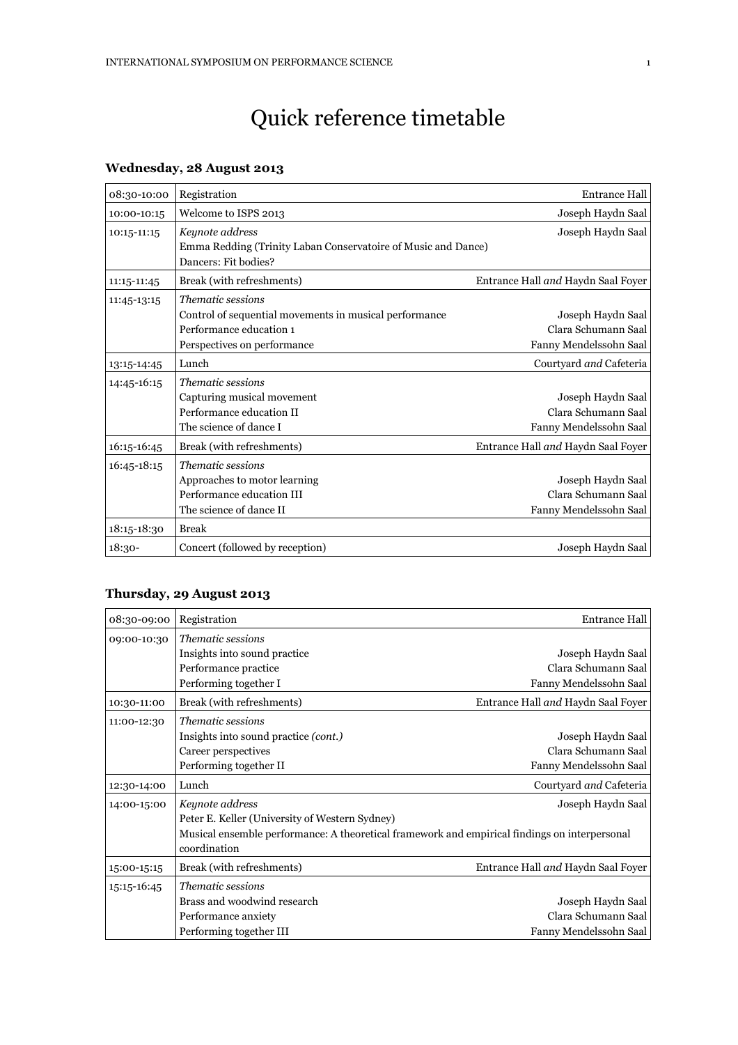## Quick reference timetable

#### Wednesday, 28 August 2013

| 08:30-10:00   | Registration<br><b>Entrance Hall</b>                                                                                                  |                                                                    |
|---------------|---------------------------------------------------------------------------------------------------------------------------------------|--------------------------------------------------------------------|
| 10:00-10:15   | Welcome to ISPS 2013                                                                                                                  | Joseph Haydn Saal                                                  |
| 10:15-11:15   | Keynote address<br>Emma Redding (Trinity Laban Conservatoire of Music and Dance)<br>Dancers: Fit bodies?                              | Joseph Haydn Saal                                                  |
| 11:15-11:45   | Break (with refreshments)                                                                                                             | Entrance Hall and Haydn Saal Foyer                                 |
| 11:45-13:15   | Thematic sessions<br>Control of sequential movements in musical performance<br>Performance education 1<br>Perspectives on performance | Joseph Haydn Saal<br>Clara Schumann Saal<br>Fanny Mendelssohn Saal |
| 13:15-14:45   | Lunch                                                                                                                                 | Courtyard and Cafeteria                                            |
| 14:45-16:15   | Thematic sessions<br>Capturing musical movement<br>Performance education II<br>The science of dance I                                 | Joseph Haydn Saal<br>Clara Schumann Saal<br>Fanny Mendelssohn Saal |
| 16:15-16:45   | Break (with refreshments)                                                                                                             | Entrance Hall and Haydn Saal Foyer                                 |
| $16:45-18:15$ | Thematic sessions<br>Approaches to motor learning<br>Performance education III<br>The science of dance II                             | Joseph Haydn Saal<br>Clara Schumann Saal<br>Fanny Mendelssohn Saal |
| 18:15-18:30   | <b>Break</b>                                                                                                                          |                                                                    |
| 18:30-        | Concert (followed by reception)                                                                                                       | Joseph Haydn Saal                                                  |

#### Thursday, 29 August 2013

| 08:30-09:00 | Registration                                                                                                  | <b>Entrance Hall</b>               |
|-------------|---------------------------------------------------------------------------------------------------------------|------------------------------------|
| 09:00-10:30 | <i>Thematic sessions</i>                                                                                      |                                    |
|             | Insights into sound practice.                                                                                 | Joseph Haydn Saal                  |
|             | Performance practice                                                                                          | Clara Schumann Saal                |
|             | Performing together I                                                                                         | Fanny Mendelssohn Saal             |
| 10:30-11:00 | Break (with refreshments)                                                                                     | Entrance Hall and Haydn Saal Foyer |
| 11:00-12:30 | <i>Thematic sessions</i>                                                                                      |                                    |
|             | Insights into sound practice <i>(cont.)</i>                                                                   | Joseph Haydn Saal                  |
|             | Career perspectives                                                                                           | Clara Schumann Saal                |
|             | Performing together II                                                                                        | Fanny Mendelssohn Saal             |
| 12:30-14:00 | Lunch                                                                                                         | Courtyard and Cafeteria            |
| 14:00-15:00 | Keynote address                                                                                               | Joseph Haydn Saal                  |
|             | Peter E. Keller (University of Western Sydney)                                                                |                                    |
|             | Musical ensemble performance: A theoretical framework and empirical findings on interpersonal<br>coordination |                                    |
| 15:00-15:15 | Break (with refreshments)                                                                                     | Entrance Hall and Haydn Saal Foyer |
| 15:15-16:45 | Thematic sessions                                                                                             |                                    |
|             | Brass and woodwind research                                                                                   | Joseph Haydn Saal                  |
|             | Performance anxiety                                                                                           | Clara Schumann Saal                |
|             | Performing together III                                                                                       | Fanny Mendelssohn Saal             |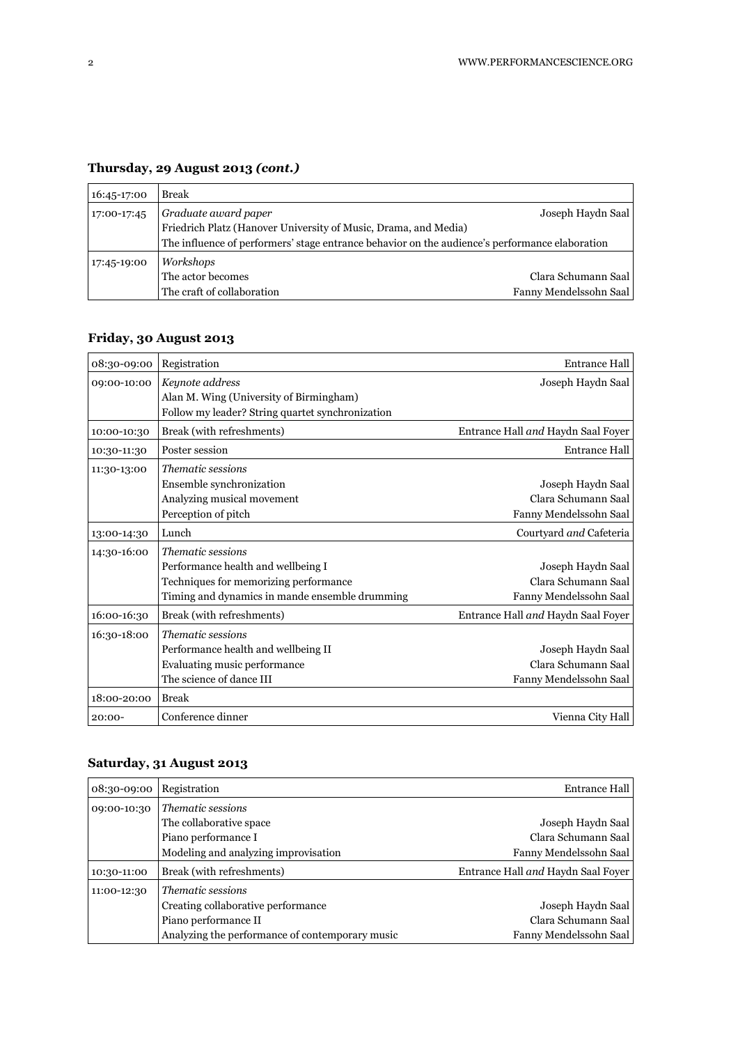$\overline{ }$ 

#### Thursday, 29 August 2013 (cont.)

| 16:45-17:00 | <b>Break</b>                                                                                   |                        |
|-------------|------------------------------------------------------------------------------------------------|------------------------|
| 17:00-17:45 | Graduate award paper                                                                           | Joseph Haydn Saal      |
|             | Friedrich Platz (Hanover University of Music, Drama, and Media)                                |                        |
|             | The influence of performers' stage entrance behavior on the audience's performance elaboration |                        |
| 17:45-19:00 | Workshops                                                                                      |                        |
|             | The actor becomes                                                                              | Clara Schumann Saal    |
|             | The craft of collaboration                                                                     | Fanny Mendelssohn Saal |

### Friday, 30 August 2013

| 08:30-09:00 | Registration                                                                                                                                       | <b>Entrance Hall</b>                                               |
|-------------|----------------------------------------------------------------------------------------------------------------------------------------------------|--------------------------------------------------------------------|
| 09:00-10:00 | Keynote address<br>Joseph Haydn Saal                                                                                                               |                                                                    |
|             | Alan M. Wing (University of Birmingham)<br>Follow my leader? String quartet synchronization                                                        |                                                                    |
| 10:00-10:30 | Break (with refreshments)                                                                                                                          | Entrance Hall and Haydn Saal Foyer                                 |
| 10:30-11:30 | Poster session                                                                                                                                     | <b>Entrance Hall</b>                                               |
| 11:30-13:00 | Thematic sessions<br>Ensemble synchronization<br>Analyzing musical movement<br>Perception of pitch                                                 | Joseph Haydn Saal<br>Clara Schumann Saal<br>Fanny Mendelssohn Saal |
| 13:00-14:30 | Lunch                                                                                                                                              | Courtyard and Cafeteria                                            |
| 14:30-16:00 | Thematic sessions<br>Performance health and wellbeing I<br>Techniques for memorizing performance<br>Timing and dynamics in mande ensemble drumming | Joseph Haydn Saal<br>Clara Schumann Saal<br>Fanny Mendelssohn Saal |
| 16:00-16:30 | Break (with refreshments)                                                                                                                          | Entrance Hall and Haydn Saal Foyer                                 |
| 16:30-18:00 | Thematic sessions<br>Performance health and wellbeing II<br>Evaluating music performance<br>The science of dance III                               | Joseph Haydn Saal<br>Clara Schumann Saal<br>Fanny Mendelssohn Saal |
| 18:00-20:00 | <b>Break</b>                                                                                                                                       |                                                                    |
| $20:00-$    | Conference dinner                                                                                                                                  | Vienna City Hall                                                   |

### Saturday, 31 August 2013

| 08:30-09:00 | Registration                                    | Entrance Hall                      |
|-------------|-------------------------------------------------|------------------------------------|
| 09:00-10:30 | <i>Thematic sessions</i>                        |                                    |
|             | The collaborative space                         | Joseph Haydn Saal                  |
|             | Piano performance I                             | Clara Schumann Saal I              |
|             | Modeling and analyzing improvisation            | Fanny Mendelssohn Saal             |
| 10:30-11:00 | Break (with refreshments)                       | Entrance Hall and Haydn Saal Foyer |
| 11:00-12:30 | Thematic sessions                               |                                    |
|             | Creating collaborative performance              | Joseph Haydn Saal                  |
|             | Piano performance II                            | Clara Schumann Saal                |
|             | Analyzing the performance of contemporary music | Fanny Mendelssohn Saal             |

 $\overline{ }$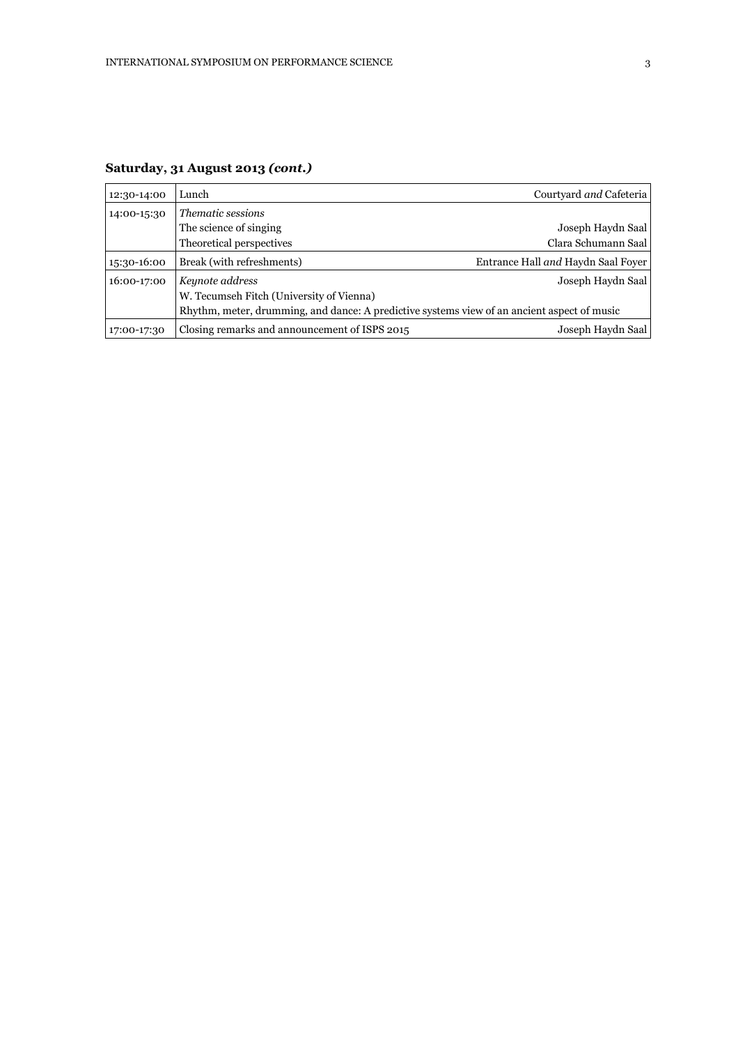| 12:30-14:00 | Lunch                                                                                       | Courtyard and Cafeteria            |
|-------------|---------------------------------------------------------------------------------------------|------------------------------------|
| 14:00-15:30 | Thematic sessions                                                                           |                                    |
|             | The science of singing                                                                      | Joseph Haydn Saal                  |
|             | Theoretical perspectives                                                                    | Clara Schumann Saal                |
| 15:30-16:00 | Break (with refreshments)                                                                   | Entrance Hall and Haydn Saal Foyer |
| 16:00-17:00 | Keynote address                                                                             | Joseph Haydn Saal                  |
|             | W. Tecumseh Fitch (University of Vienna)                                                    |                                    |
|             | Rhythm, meter, drumming, and dance: A predictive systems view of an ancient aspect of music |                                    |
| 17:00-17:30 | Closing remarks and announcement of ISPS 2015                                               | Joseph Haydn Saal                  |

Saturday, 31 August 2013 (cont.)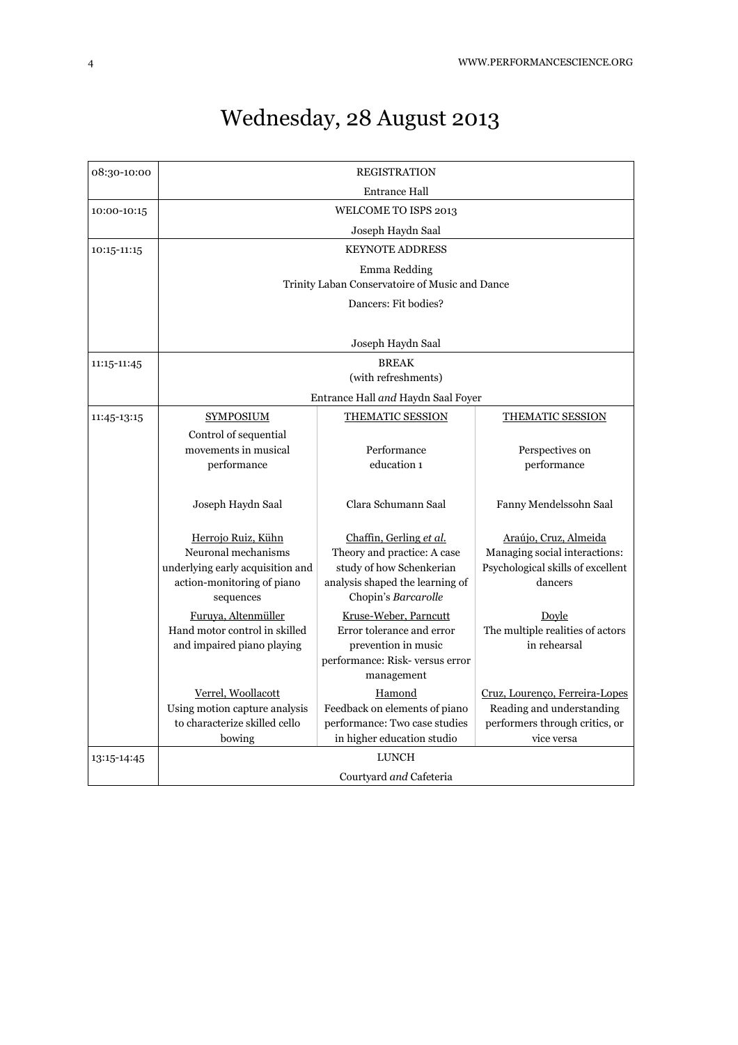## Wednesday, 28 August 2013

| 08:30-10:00 | <b>REGISTRATION</b>                                                                                                      |                                                                                                                                              |                                                                                                        |
|-------------|--------------------------------------------------------------------------------------------------------------------------|----------------------------------------------------------------------------------------------------------------------------------------------|--------------------------------------------------------------------------------------------------------|
|             | <b>Entrance Hall</b>                                                                                                     |                                                                                                                                              |                                                                                                        |
| 10:00-10:15 | WELCOME TO ISPS 2013                                                                                                     |                                                                                                                                              |                                                                                                        |
|             |                                                                                                                          | Joseph Haydn Saal                                                                                                                            |                                                                                                        |
| 10:15-11:15 |                                                                                                                          | <b>KEYNOTE ADDRESS</b>                                                                                                                       |                                                                                                        |
|             |                                                                                                                          | Emma Redding<br>Trinity Laban Conservatoire of Music and Dance                                                                               |                                                                                                        |
|             |                                                                                                                          | Dancers: Fit bodies?                                                                                                                         |                                                                                                        |
|             |                                                                                                                          |                                                                                                                                              |                                                                                                        |
|             |                                                                                                                          | Joseph Haydn Saal                                                                                                                            |                                                                                                        |
| 11:15-11:45 |                                                                                                                          | <b>BREAK</b>                                                                                                                                 |                                                                                                        |
|             |                                                                                                                          | (with refreshments)                                                                                                                          |                                                                                                        |
|             |                                                                                                                          | Entrance Hall and Haydn Saal Foyer                                                                                                           |                                                                                                        |
| 11:45-13:15 | <b>SYMPOSIUM</b>                                                                                                         | <b>THEMATIC SESSION</b>                                                                                                                      | THEMATIC SESSION                                                                                       |
|             | Control of sequential<br>movements in musical<br>performance                                                             | Performance<br>education 1                                                                                                                   | Perspectives on<br>performance                                                                         |
|             | Joseph Haydn Saal                                                                                                        | Clara Schumann Saal                                                                                                                          | Fanny Mendelssohn Saal                                                                                 |
|             | Herrojo Ruiz, Kühn<br>Neuronal mechanisms<br>underlying early acquisition and<br>action-monitoring of piano<br>sequences | Chaffin, Gerling et al.<br>Theory and practice: A case<br>study of how Schenkerian<br>analysis shaped the learning of<br>Chopin's Barcarolle | Araújo, Cruz, Almeida<br>Managing social interactions:<br>Psychological skills of excellent<br>dancers |
|             | Furuya, Altenmüller<br>Hand motor control in skilled<br>and impaired piano playing                                       | Kruse-Weber, Parncutt<br>Error tolerance and error<br>prevention in music<br>performance: Risk- versus error<br>management                   | Doyle<br>The multiple realities of actors<br>in rehearsal                                              |
|             | Verrel, Woollacott                                                                                                       | Hamond                                                                                                                                       | Cruz, Lourenco, Ferreira-Lopes                                                                         |
|             | Using motion capture analysis                                                                                            | Feedback on elements of piano                                                                                                                | Reading and understanding                                                                              |
|             | to characterize skilled cello                                                                                            | performance: Two case studies                                                                                                                | performers through critics, or                                                                         |
|             | bowing                                                                                                                   | in higher education studio                                                                                                                   | vice versa                                                                                             |
| 13:15-14:45 |                                                                                                                          | <b>LUNCH</b>                                                                                                                                 |                                                                                                        |
|             |                                                                                                                          | Courtyard and Cafeteria                                                                                                                      |                                                                                                        |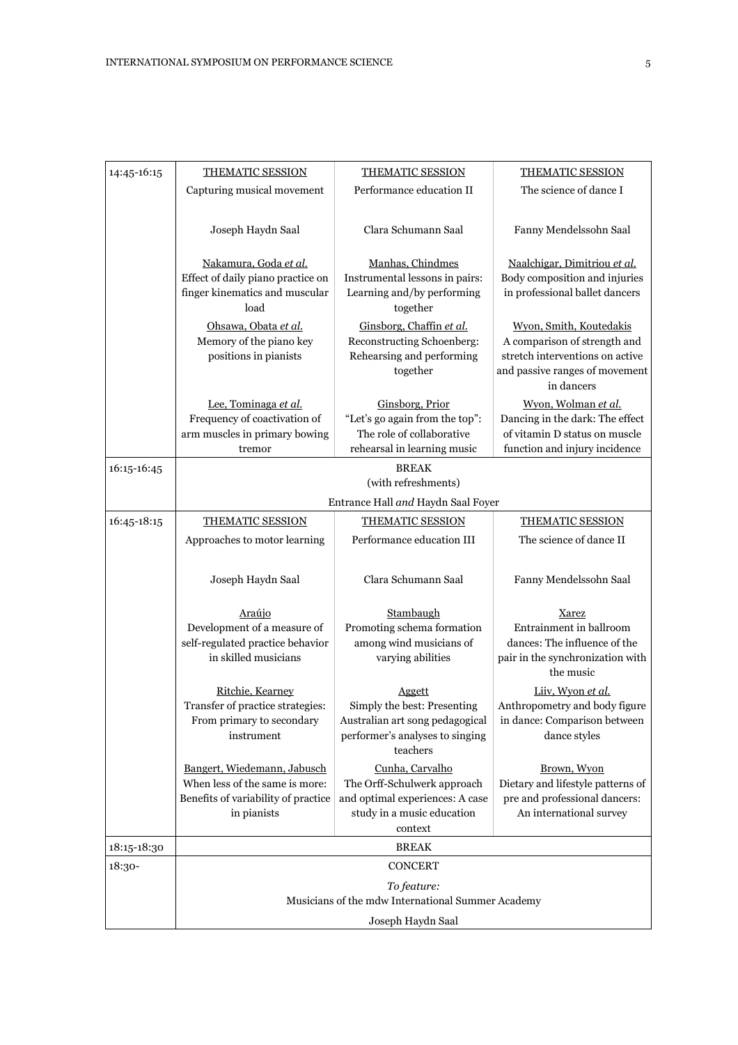| 14:45-16:15 | <b>THEMATIC SESSION</b>                                                                                             | <b>THEMATIC SESSION</b>                                                                                                    | <b>THEMATIC SESSION</b>                                                                                                                    |
|-------------|---------------------------------------------------------------------------------------------------------------------|----------------------------------------------------------------------------------------------------------------------------|--------------------------------------------------------------------------------------------------------------------------------------------|
|             | Capturing musical movement                                                                                          | Performance education II                                                                                                   | The science of dance I                                                                                                                     |
|             |                                                                                                                     |                                                                                                                            |                                                                                                                                            |
|             | Joseph Haydn Saal                                                                                                   | Clara Schumann Saal                                                                                                        | Fanny Mendelssohn Saal                                                                                                                     |
|             | Nakamura, Goda et al.<br>Effect of daily piano practice on<br>finger kinematics and muscular<br>load                | Manhas, Chindmes<br>Instrumental lessons in pairs:<br>Learning and/by performing<br>together                               | Naalchigar, Dimitriou et al.<br>Body composition and injuries<br>in professional ballet dancers                                            |
|             | Ohsawa, Obata et al.<br>Memory of the piano key<br>positions in pianists                                            | Ginsborg, Chaffin et al.<br>Reconstructing Schoenberg:<br>Rehearsing and performing<br>together                            | Wyon, Smith, Koutedakis<br>A comparison of strength and<br>stretch interventions on active<br>and passive ranges of movement<br>in dancers |
|             | Lee, Tominaga et al.<br>Frequency of coactivation of<br>arm muscles in primary bowing<br>tremor                     | Ginsborg, Prior<br>"Let's go again from the top":<br>The role of collaborative<br>rehearsal in learning music              | Wyon, Wolman et al.<br>Dancing in the dark: The effect<br>of vitamin D status on muscle<br>function and injury incidence                   |
| 16:15-16:45 |                                                                                                                     | <b>BREAK</b>                                                                                                               |                                                                                                                                            |
|             |                                                                                                                     | (with refreshments)                                                                                                        |                                                                                                                                            |
|             |                                                                                                                     | Entrance Hall and Haydn Saal Foyer                                                                                         |                                                                                                                                            |
| 16:45-18:15 | <b>THEMATIC SESSION</b>                                                                                             | THEMATIC SESSION                                                                                                           | <b>THEMATIC SESSION</b>                                                                                                                    |
|             | Approaches to motor learning                                                                                        | Performance education III                                                                                                  | The science of dance II                                                                                                                    |
|             | Joseph Haydn Saal                                                                                                   | Clara Schumann Saal                                                                                                        | Fanny Mendelssohn Saal                                                                                                                     |
|             | Araújo<br>Development of a measure of<br>self-regulated practice behavior<br>in skilled musicians                   | Stambaugh<br>Promoting schema formation<br>among wind musicians of<br>varying abilities                                    | <b>Xarez</b><br>Entrainment in ballroom<br>dances: The influence of the<br>pair in the synchronization with<br>the music                   |
|             | Ritchie, Kearney<br>Transfer of practice strategies:<br>From primary to secondary<br>instrument                     | Aggett<br>Simply the best: Presenting<br>Australian art song pedagogical<br>performer's analyses to singing<br>teachers    | Liiv, Wyon et al.<br>Anthropometry and body figure<br>in dance: Comparison between<br>dance styles                                         |
|             | Bangert, Wiedemann, Jabusch<br>When less of the same is more:<br>Benefits of variability of practice<br>in pianists | Cunha, Carvalho<br>The Orff-Schulwerk approach<br>and optimal experiences: A case<br>study in a music education<br>context | Brown, Wyon<br>Dietary and lifestyle patterns of<br>pre and professional dancers:<br>An international survey                               |
| 18:15-18:30 |                                                                                                                     | <b>BREAK</b>                                                                                                               |                                                                                                                                            |
| $18:30-$    |                                                                                                                     | <b>CONCERT</b>                                                                                                             |                                                                                                                                            |
|             |                                                                                                                     | To feature:                                                                                                                |                                                                                                                                            |
|             |                                                                                                                     | Musicians of the mdw International Summer Academy                                                                          |                                                                                                                                            |
|             |                                                                                                                     | Joseph Haydn Saal                                                                                                          |                                                                                                                                            |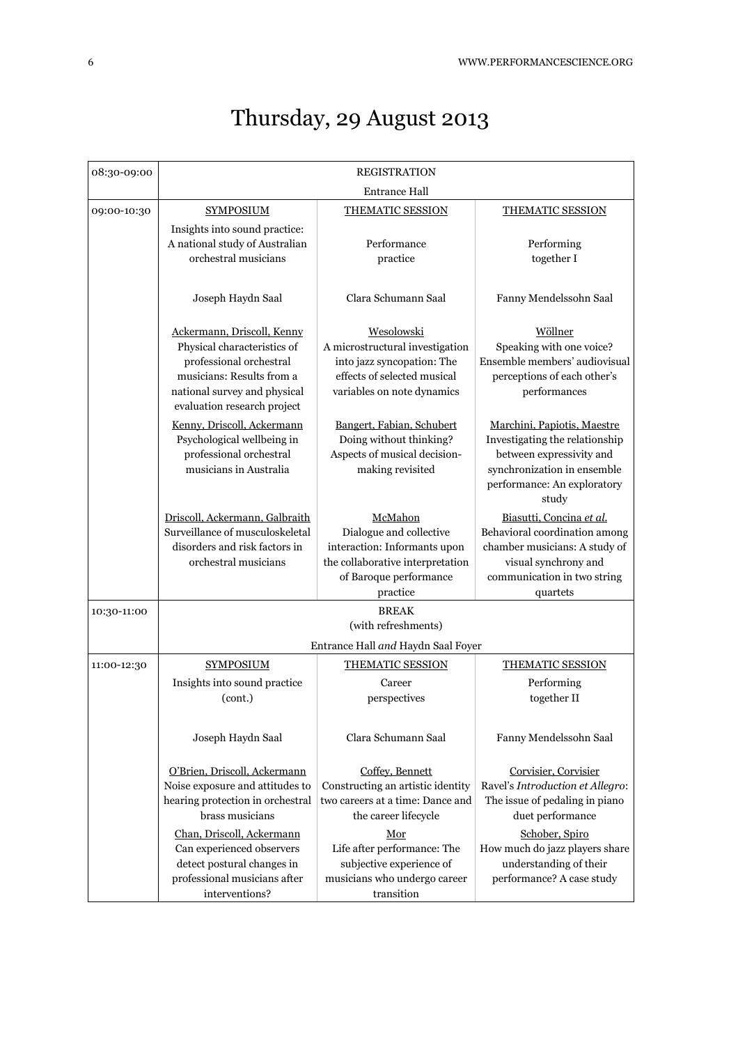| 08:30-09:00 | <b>REGISTRATION</b>                                                                                                                                                              |                                                                                                                                                        |                                                                                                                                                                    |
|-------------|----------------------------------------------------------------------------------------------------------------------------------------------------------------------------------|--------------------------------------------------------------------------------------------------------------------------------------------------------|--------------------------------------------------------------------------------------------------------------------------------------------------------------------|
|             | Entrance Hall                                                                                                                                                                    |                                                                                                                                                        |                                                                                                                                                                    |
| 09:00-10:30 | <b>SYMPOSIUM</b>                                                                                                                                                                 | <b>THEMATIC SESSION</b>                                                                                                                                | <b>THEMATIC SESSION</b>                                                                                                                                            |
|             | Insights into sound practice:<br>A national study of Australian<br>orchestral musicians                                                                                          | Performance<br>practice                                                                                                                                | Performing<br>together I                                                                                                                                           |
|             | Joseph Haydn Saal                                                                                                                                                                | Clara Schumann Saal                                                                                                                                    | Fanny Mendelssohn Saal                                                                                                                                             |
|             | Ackermann, Driscoll, Kenny<br>Physical characteristics of<br>professional orchestral<br>musicians: Results from a<br>national survey and physical<br>evaluation research project | Wesolowski<br>A microstructural investigation<br>into jazz syncopation: The<br>effects of selected musical<br>variables on note dynamics               | Wöllner<br>Speaking with one voice?<br>Ensemble members' audiovisual<br>perceptions of each other's<br>performances                                                |
|             | Kenny, Driscoll, Ackermann<br>Psychological wellbeing in<br>professional orchestral<br>musicians in Australia                                                                    | Bangert, Fabian, Schubert<br>Doing without thinking?<br>Aspects of musical decision-<br>making revisited                                               | Marchini, Papiotis, Maestre<br>Investigating the relationship<br>between expressivity and<br>synchronization in ensemble<br>performance: An exploratory<br>study   |
|             | Driscoll, Ackermann, Galbraith<br>Surveillance of musculoskeletal<br>disorders and risk factors in<br>orchestral musicians                                                       | McMahon<br>Dialogue and collective<br>interaction: Informants upon<br>the collaborative interpretation<br>of Baroque performance<br>practice           | Biasutti, Concina et al.<br>Behavioral coordination among<br>chamber musicians: A study of<br>visual synchrony and<br>communication in two string<br>quartets      |
| 10:30-11:00 |                                                                                                                                                                                  | <b>BREAK</b><br>(with refreshments)                                                                                                                    |                                                                                                                                                                    |
|             |                                                                                                                                                                                  | Entrance Hall and Haydn Saal Foyer                                                                                                                     |                                                                                                                                                                    |
| 11:00-12:30 | <b>SYMPOSIUM</b>                                                                                                                                                                 | THEMATIC SESSION                                                                                                                                       | THEMATIC SESSION                                                                                                                                                   |
|             | Insights into sound practice<br>(cont.)                                                                                                                                          | Career<br>perspectives                                                                                                                                 | Performing<br>together II                                                                                                                                          |
|             | Joseph Haydn Saal                                                                                                                                                                | Clara Schumann Saal                                                                                                                                    | Fanny Mendelssohn Saal                                                                                                                                             |
|             | O'Brien, Driscoll, Ackermann<br>Noise exposure and attitudes to<br>hearing protection in orchestral<br>brass musicians<br>Chan, Driscoll, Ackermann<br>Can experienced observers | Coffey, Bennett<br>Constructing an artistic identity<br>two careers at a time: Dance and<br>the career lifecycle<br>Mor<br>Life after performance: The | Corvisier, Corvisier<br>Ravel's Introduction et Allegro:<br>The issue of pedaling in piano<br>duet performance<br>Schober, Spiro<br>How much do jazz players share |
|             | detect postural changes in<br>professional musicians after<br>interventions?                                                                                                     | subjective experience of<br>musicians who undergo career<br>transition                                                                                 | understanding of their<br>performance? A case study                                                                                                                |

# Thursday, 29 August 2013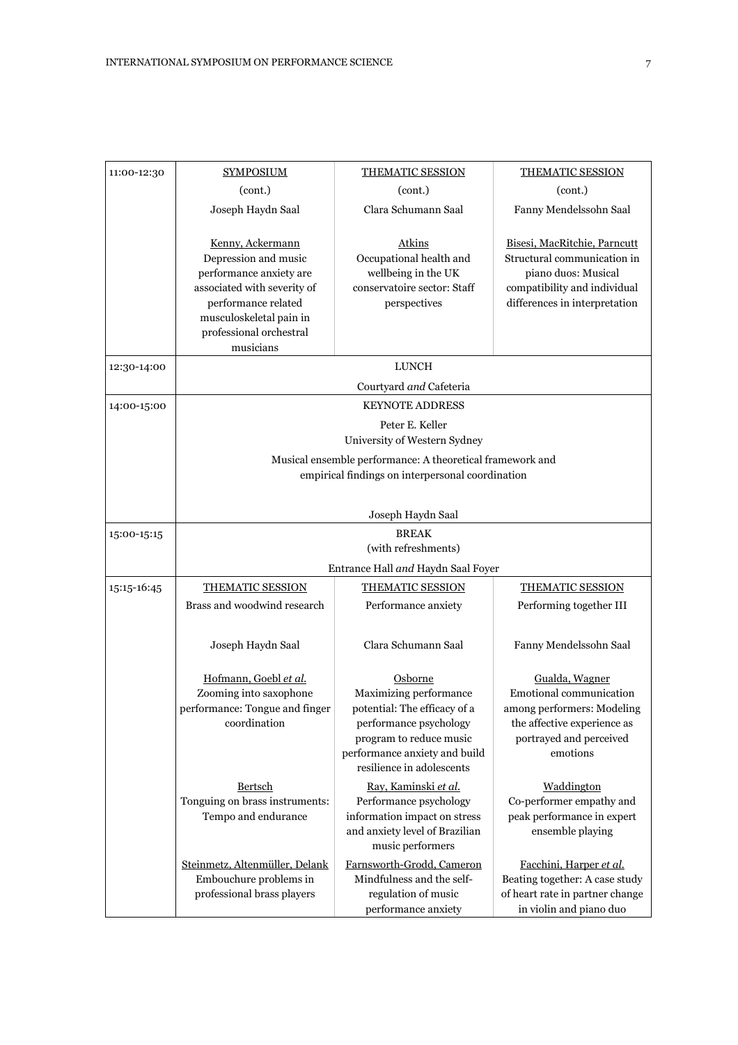| 11:00-12:30 | <b>SYMPOSIUM</b>                                                                                                                                                                             | <b>THEMATIC SESSION</b>                                                                                                                                                              | THEMATIC SESSION                                                                                                                                    |
|-------------|----------------------------------------------------------------------------------------------------------------------------------------------------------------------------------------------|--------------------------------------------------------------------------------------------------------------------------------------------------------------------------------------|-----------------------------------------------------------------------------------------------------------------------------------------------------|
|             | (cont.)                                                                                                                                                                                      | (cont.)                                                                                                                                                                              | (cont.)                                                                                                                                             |
|             | Joseph Haydn Saal                                                                                                                                                                            | Clara Schumann Saal                                                                                                                                                                  | Fanny Mendelssohn Saal                                                                                                                              |
|             | Kenny, Ackermann<br>Depression and music<br>performance anxiety are<br>associated with severity of<br>performance related<br>musculoskeletal pain in<br>professional orchestral<br>musicians | Atkins<br>Occupational health and<br>wellbeing in the UK<br>conservatoire sector: Staff<br>perspectives                                                                              | Bisesi, MacRitchie, Parncutt<br>Structural communication in<br>piano duos: Musical<br>compatibility and individual<br>differences in interpretation |
| 12:30-14:00 |                                                                                                                                                                                              | <b>LUNCH</b>                                                                                                                                                                         |                                                                                                                                                     |
|             |                                                                                                                                                                                              | Courtyard and Cafeteria                                                                                                                                                              |                                                                                                                                                     |
| 14:00-15:00 |                                                                                                                                                                                              | <b>KEYNOTE ADDRESS</b>                                                                                                                                                               |                                                                                                                                                     |
|             |                                                                                                                                                                                              | Peter E. Keller<br>University of Western Sydney                                                                                                                                      |                                                                                                                                                     |
|             |                                                                                                                                                                                              | Musical ensemble performance: A theoretical framework and<br>empirical findings on interpersonal coordination<br>Joseph Haydn Saal                                                   |                                                                                                                                                     |
| 15:00-15:15 | <b>BREAK</b>                                                                                                                                                                                 |                                                                                                                                                                                      |                                                                                                                                                     |
|             | (with refreshments)                                                                                                                                                                          |                                                                                                                                                                                      |                                                                                                                                                     |
|             | Entrance Hall and Haydn Saal Foyer                                                                                                                                                           |                                                                                                                                                                                      |                                                                                                                                                     |
| 15:15-16:45 | <b>THEMATIC SESSION</b>                                                                                                                                                                      | THEMATIC SESSION                                                                                                                                                                     | <b>THEMATIC SESSION</b>                                                                                                                             |
|             | Brass and woodwind research                                                                                                                                                                  | Performance anxiety                                                                                                                                                                  | Performing together III                                                                                                                             |
|             | Joseph Haydn Saal                                                                                                                                                                            | Clara Schumann Saal                                                                                                                                                                  | Fanny Mendelssohn Saal                                                                                                                              |
|             | Hofmann, Goebl et al.<br>Zooming into saxophone<br>performance: Tongue and finger<br>coordination                                                                                            | Osborne<br>Maximizing performance<br>potential: The efficacy of a<br>performance psychology<br>program to reduce music<br>performance anxiety and build<br>resilience in adolescents | Gualda, Wagner<br>Emotional communication<br>among performers: Modeling<br>the affective experience as<br>portrayed and perceived<br>emotions       |
|             | Bertsch<br>Tonguing on brass instruments:<br>Tempo and endurance                                                                                                                             | Ray, Kaminski et al.<br>Performance psychology<br>information impact on stress<br>and anxiety level of Brazilian<br>music performers                                                 | Waddington<br>Co-performer empathy and<br>peak performance in expert<br>ensemble playing                                                            |
|             | Steinmetz, Altenmüller, Delank<br>Embouchure problems in<br>professional brass players                                                                                                       | Farnsworth-Grodd, Cameron<br>Mindfulness and the self-<br>regulation of music<br>performance anxiety                                                                                 | Facchini, Harper et al.<br>Beating together: A case study<br>of heart rate in partner change<br>in violin and piano duo                             |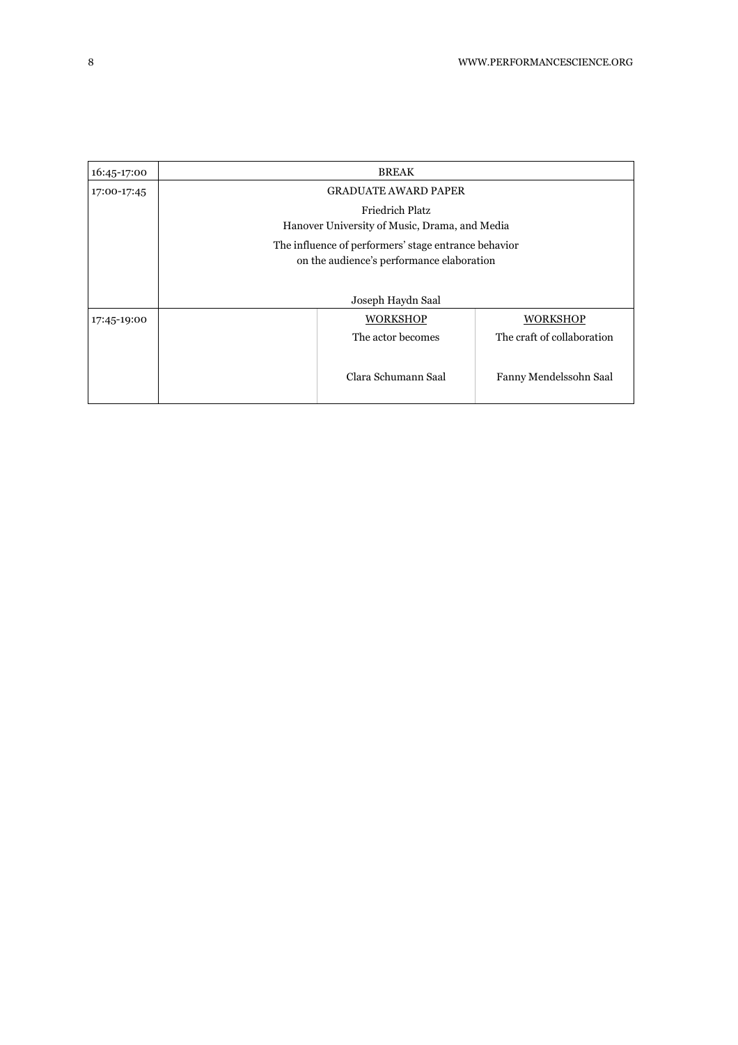| 16:45-17:00 | <b>BREAK</b>                                                     |                                                                                                   |                            |
|-------------|------------------------------------------------------------------|---------------------------------------------------------------------------------------------------|----------------------------|
| 17:00-17:45 |                                                                  | <b>GRADUATE AWARD PAPER</b>                                                                       |                            |
|             | Friedrich Platz<br>Hanover University of Music, Drama, and Media |                                                                                                   |                            |
|             |                                                                  | The influence of performers' stage entrance behavior<br>on the audience's performance elaboration |                            |
|             |                                                                  | Joseph Haydn Saal                                                                                 |                            |
| 17:45-19:00 |                                                                  | <b>WORKSHOP</b>                                                                                   | <b>WORKSHOP</b>            |
|             |                                                                  | The actor becomes                                                                                 | The craft of collaboration |
|             |                                                                  | Clara Schumann Saal                                                                               | Fanny Mendelssohn Saal     |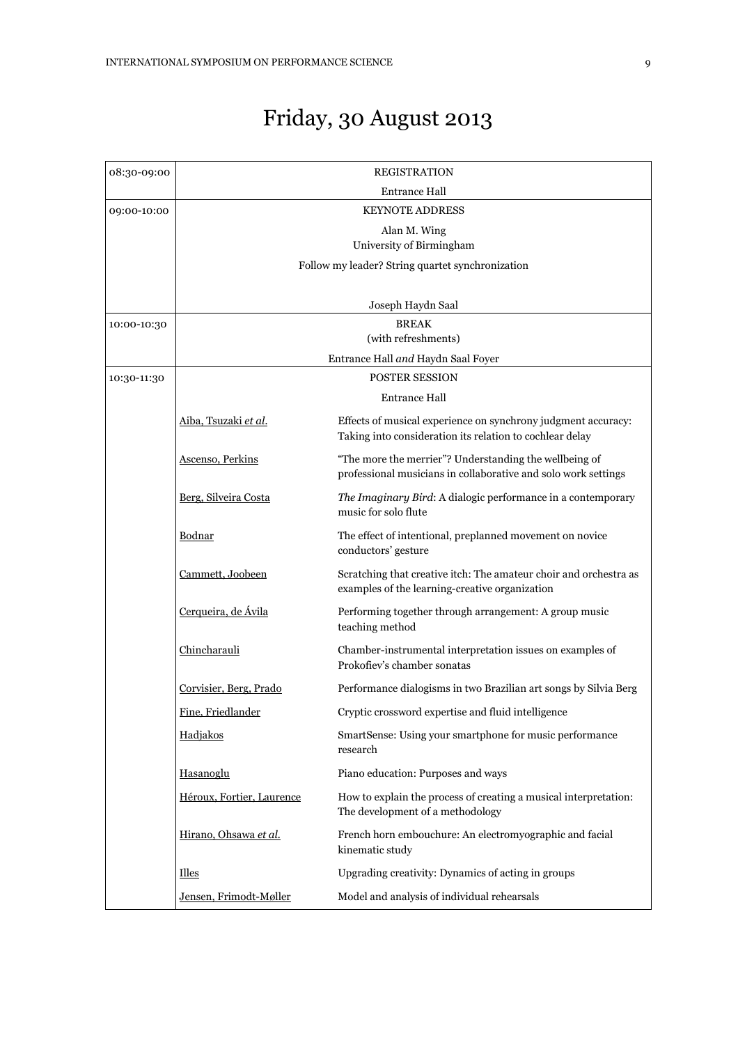## Friday, 30 August 2013

| 08:30-09:00 | <b>REGISTRATION</b>       |                                                                                                                           |
|-------------|---------------------------|---------------------------------------------------------------------------------------------------------------------------|
|             |                           | Entrance Hall                                                                                                             |
| 09:00-10:00 | <b>KEYNOTE ADDRESS</b>    |                                                                                                                           |
|             |                           | Alan M. Wing<br>University of Birmingham                                                                                  |
|             |                           | Follow my leader? String quartet synchronization                                                                          |
|             |                           |                                                                                                                           |
|             |                           | Joseph Haydn Saal                                                                                                         |
| 10:00-10:30 |                           | <b>BREAK</b>                                                                                                              |
|             |                           | (with refreshments)                                                                                                       |
|             |                           | Entrance Hall and Haydn Saal Foyer                                                                                        |
| 10:30-11:30 |                           | <b>POSTER SESSION</b>                                                                                                     |
|             |                           | <b>Entrance Hall</b>                                                                                                      |
|             | Aiba, Tsuzaki et al.      | Effects of musical experience on synchrony judgment accuracy:<br>Taking into consideration its relation to cochlear delay |
|             | Ascenso, Perkins          | "The more the merrier"? Understanding the wellbeing of<br>professional musicians in collaborative and solo work settings  |
|             | Berg, Silveira Costa      | The Imaginary Bird: A dialogic performance in a contemporary<br>music for solo flute                                      |
|             | Bodnar                    | The effect of intentional, preplanned movement on novice<br>conductors' gesture                                           |
|             | Cammett, Joobeen          | Scratching that creative itch: The amateur choir and orchestra as<br>examples of the learning-creative organization       |
|             | Cerqueira, de Ávila       | Performing together through arrangement: A group music<br>teaching method                                                 |
|             | Chincharauli              | Chamber-instrumental interpretation issues on examples of<br>Prokofiev's chamber sonatas                                  |
|             | Corvisier, Berg, Prado    | Performance dialogisms in two Brazilian art songs by Silvia Berg                                                          |
|             | Fine, Friedlander         | Cryptic crossword expertise and fluid intelligence                                                                        |
|             | Hadjakos                  | SmartSense: Using your smartphone for music performance<br>research                                                       |
|             | Hasanoglu                 | Piano education: Purposes and ways                                                                                        |
|             | Héroux, Fortier, Laurence | How to explain the process of creating a musical interpretation:<br>The development of a methodology                      |
|             | Hirano, Ohsawa et al.     | French horn embouchure: An electromyographic and facial<br>kinematic study                                                |
|             | Illes                     | Upgrading creativity: Dynamics of acting in groups                                                                        |
|             | Jensen, Frimodt-Møller    | Model and analysis of individual rehearsals                                                                               |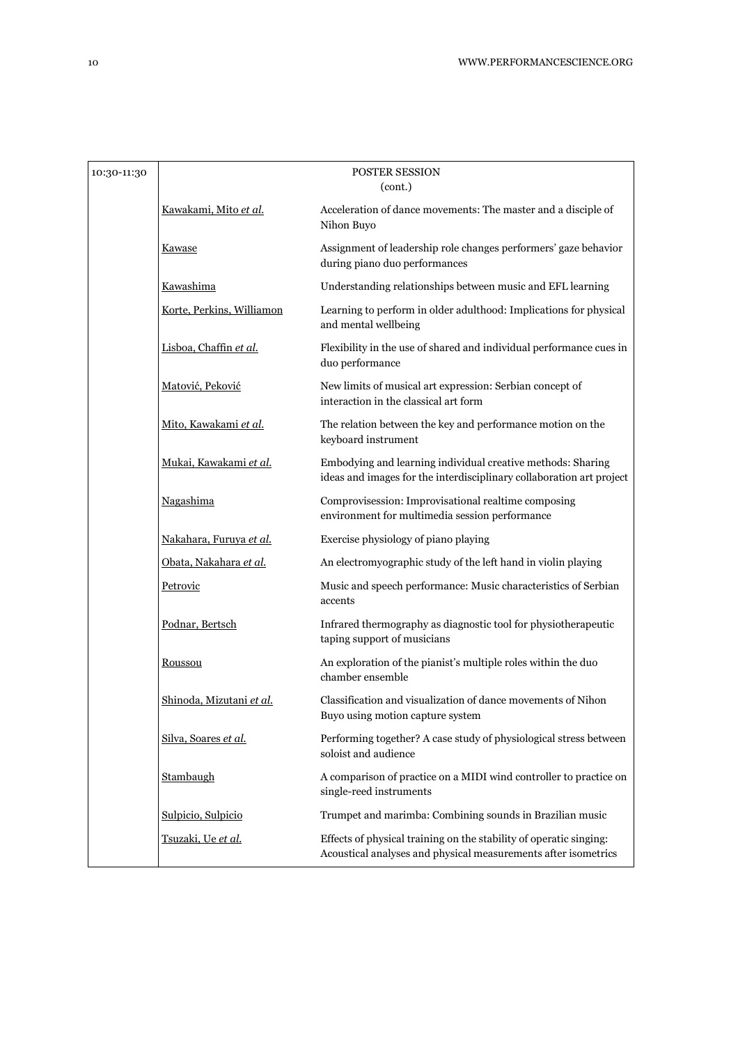| 10:30-11:30 | POSTER SESSION<br>(cont.) |                                                                                                                                      |  |
|-------------|---------------------------|--------------------------------------------------------------------------------------------------------------------------------------|--|
|             | Kawakami, Mito et al.     | Acceleration of dance movements: The master and a disciple of<br>Nihon Buyo                                                          |  |
|             | Kawase                    | Assignment of leadership role changes performers' gaze behavior<br>during piano duo performances                                     |  |
|             | Kawashima                 | Understanding relationships between music and EFL learning                                                                           |  |
|             | Korte, Perkins, Williamon | Learning to perform in older adulthood: Implications for physical<br>and mental wellbeing                                            |  |
|             | Lisboa, Chaffin et al.    | Flexibility in the use of shared and individual performance cues in<br>duo performance                                               |  |
|             | Matović, Peković          | New limits of musical art expression: Serbian concept of<br>interaction in the classical art form                                    |  |
|             | Mito, Kawakami et al.     | The relation between the key and performance motion on the<br>keyboard instrument                                                    |  |
|             | Mukai, Kawakami et al.    | Embodying and learning individual creative methods: Sharing<br>ideas and images for the interdisciplinary collaboration art project  |  |
|             | Nagashima                 | Comprovisession: Improvisational realtime composing<br>environment for multimedia session performance                                |  |
|             | Nakahara, Furuya et al.   | Exercise physiology of piano playing                                                                                                 |  |
|             | Obata, Nakahara et al.    | An electromyographic study of the left hand in violin playing                                                                        |  |
|             | Petrovic                  | Music and speech performance: Music characteristics of Serbian<br>accents                                                            |  |
|             | Podnar, Bertsch           | Infrared thermography as diagnostic tool for physiotherapeutic<br>taping support of musicians                                        |  |
|             | Roussou                   | An exploration of the pianist's multiple roles within the duo<br>chamber ensemble                                                    |  |
|             | Shinoda, Mizutani et al.  | Classification and visualization of dance movements of Nihon<br>Buyo using motion capture system                                     |  |
|             | Silva, Soares et al.      | Performing together? A case study of physiological stress between<br>soloist and audience                                            |  |
|             | Stambaugh                 | A comparison of practice on a MIDI wind controller to practice on<br>single-reed instruments                                         |  |
|             | Sulpicio, Sulpicio        | Trumpet and marimba: Combining sounds in Brazilian music                                                                             |  |
|             | Tsuzaki, Ue et al.        | Effects of physical training on the stability of operatic singing:<br>Acoustical analyses and physical measurements after isometrics |  |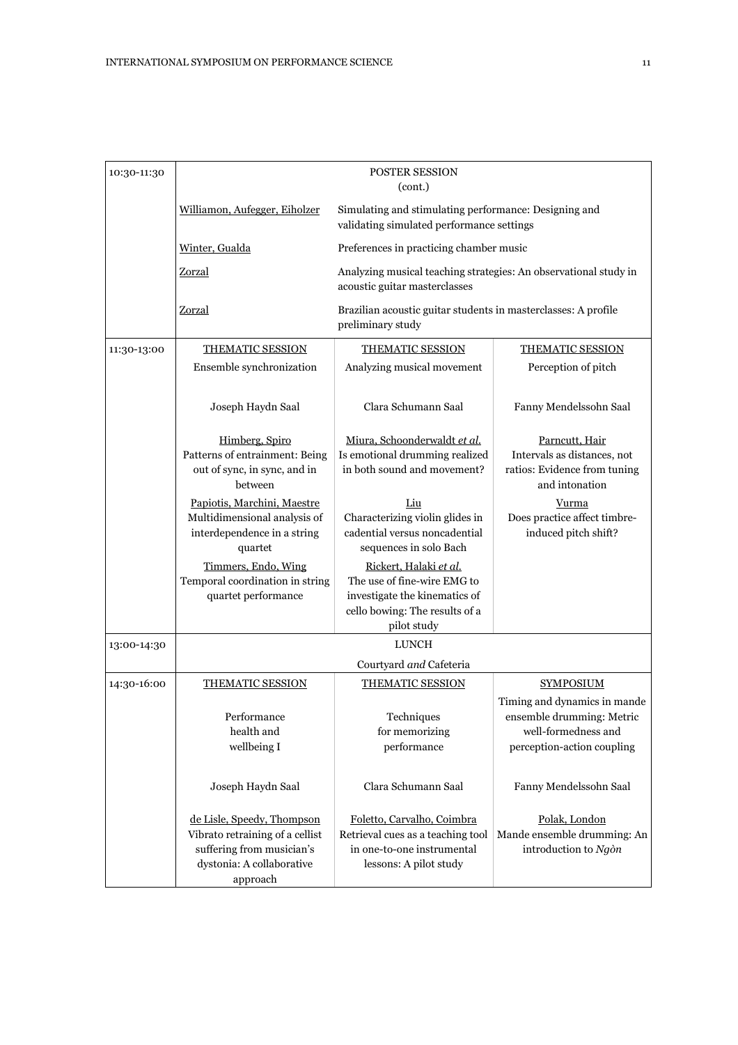| 10:30-11:30 | POSTER SESSION<br>(cont.)                                                                                                           |                                                                                                                                                                                          |                                                                                                                                    |  |
|-------------|-------------------------------------------------------------------------------------------------------------------------------------|------------------------------------------------------------------------------------------------------------------------------------------------------------------------------------------|------------------------------------------------------------------------------------------------------------------------------------|--|
|             | Williamon, Aufegger, Eiholzer                                                                                                       | Simulating and stimulating performance: Designing and<br>validating simulated performance settings                                                                                       |                                                                                                                                    |  |
|             | Winter, Gualda                                                                                                                      | Preferences in practicing chamber music                                                                                                                                                  |                                                                                                                                    |  |
|             | Zorzal                                                                                                                              | Analyzing musical teaching strategies: An observational study in<br>acoustic guitar masterclasses<br>Brazilian acoustic guitar students in masterclasses: A profile<br>preliminary study |                                                                                                                                    |  |
|             | Zorzal                                                                                                                              |                                                                                                                                                                                          |                                                                                                                                    |  |
| 11:30-13:00 | THEMATIC SESSION                                                                                                                    | <b>THEMATIC SESSION</b>                                                                                                                                                                  | <u>THEMATIC SESSION</u>                                                                                                            |  |
|             | Ensemble synchronization                                                                                                            | Analyzing musical movement                                                                                                                                                               | Perception of pitch                                                                                                                |  |
|             | Joseph Haydn Saal                                                                                                                   | Clara Schumann Saal                                                                                                                                                                      | Fanny Mendelssohn Saal                                                                                                             |  |
|             | Himberg, Spiro<br>Patterns of entrainment: Being<br>out of sync, in sync, and in<br>between                                         | Miura, Schoonderwaldt et al.<br>Is emotional drumming realized<br>in both sound and movement?                                                                                            | Parncutt, Hair<br>Intervals as distances, not<br>ratios: Evidence from tuning<br>and intonation                                    |  |
|             | Papiotis, Marchini, Maestre<br>Multidimensional analysis of<br>interdependence in a string<br>quartet                               | <u>Liu</u><br>Characterizing violin glides in<br>cadential versus noncadential<br>sequences in solo Bach                                                                                 | <b>Vurma</b><br>Does practice affect timbre-<br>induced pitch shift?                                                               |  |
|             | Timmers, Endo, Wing<br>Temporal coordination in string<br>quartet performance                                                       | Rickert, Halaki et al.<br>The use of fine-wire EMG to<br>investigate the kinematics of<br>cello bowing: The results of a<br>pilot study                                                  |                                                                                                                                    |  |
| 13:00-14:30 |                                                                                                                                     | <b>LUNCH</b>                                                                                                                                                                             |                                                                                                                                    |  |
|             |                                                                                                                                     | Courtyard and Cafeteria                                                                                                                                                                  |                                                                                                                                    |  |
| 14:30-16:00 | <b>THEMATIC SESSION</b><br>Performance<br>health and<br>wellbeing I                                                                 | THEMATIC SESSION<br>Techniques<br>for memorizing<br>performance                                                                                                                          | <b>SYMPOSIUM</b><br>Timing and dynamics in mande<br>ensemble drumming: Metric<br>well-formedness and<br>perception-action coupling |  |
|             | Joseph Haydn Saal                                                                                                                   | Clara Schumann Saal                                                                                                                                                                      | Fanny Mendelssohn Saal                                                                                                             |  |
|             | de Lisle, Speedy, Thompson<br>Vibrato retraining of a cellist<br>suffering from musician's<br>dystonia: A collaborative<br>approach | Foletto, Carvalho, Coimbra<br>Retrieval cues as a teaching tool<br>in one-to-one instrumental<br>lessons: A pilot study                                                                  | Polak, London<br>Mande ensemble drumming: An<br>introduction to Ngòn                                                               |  |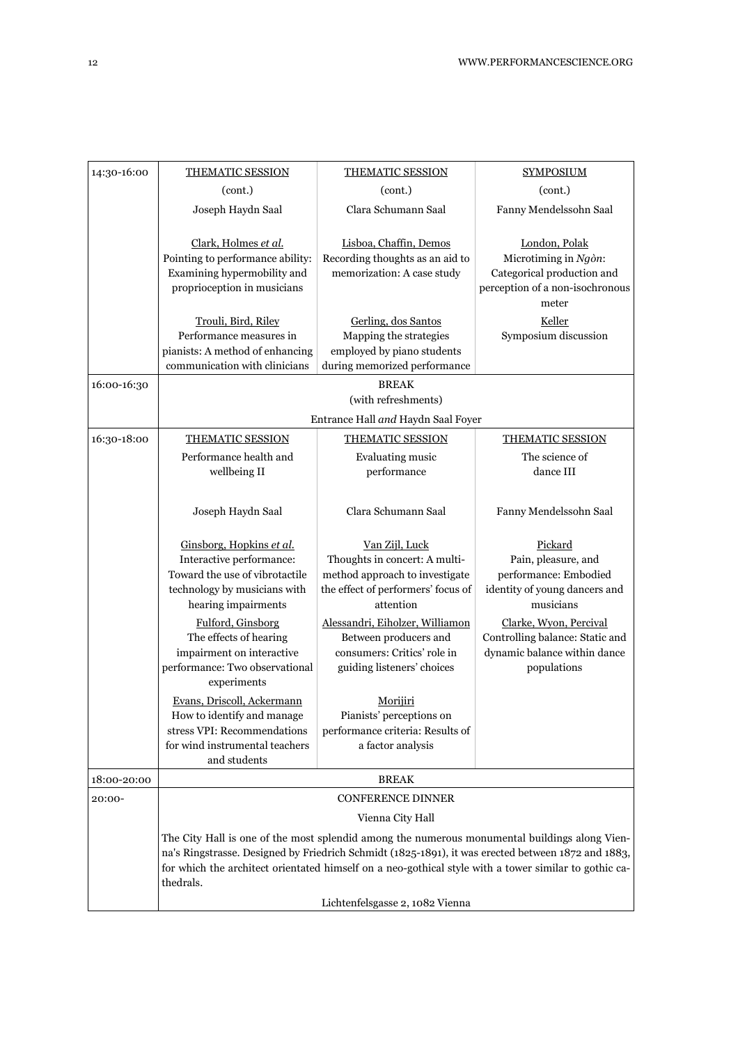| 14:30-16:00 | <b>THEMATIC SESSION</b>                                                                                                                                                                                                                                                                                                   | THEMATIC SESSION                                                                                                                     | <b>SYMPOSIUM</b>                                                                                                |
|-------------|---------------------------------------------------------------------------------------------------------------------------------------------------------------------------------------------------------------------------------------------------------------------------------------------------------------------------|--------------------------------------------------------------------------------------------------------------------------------------|-----------------------------------------------------------------------------------------------------------------|
|             | (cont.)                                                                                                                                                                                                                                                                                                                   | (cont.)                                                                                                                              | (cont.)                                                                                                         |
|             | Joseph Haydn Saal                                                                                                                                                                                                                                                                                                         | Clara Schumann Saal                                                                                                                  | Fanny Mendelssohn Saal                                                                                          |
|             | Clark, Holmes et al.<br>Pointing to performance ability:<br>Examining hypermobility and<br>proprioception in musicians                                                                                                                                                                                                    | Lisboa, Chaffin, Demos<br>Recording thoughts as an aid to<br>memorization: A case study                                              | London, Polak<br>Microtiming in Ngòn:<br>Categorical production and<br>perception of a non-isochronous<br>meter |
|             | Trouli, Bird, Riley<br>Performance measures in<br>pianists: A method of enhancing<br>communication with clinicians                                                                                                                                                                                                        | Gerling, dos Santos<br>Mapping the strategies<br>employed by piano students<br>during memorized performance                          | Keller<br>Symposium discussion                                                                                  |
| 16:00-16:30 |                                                                                                                                                                                                                                                                                                                           | <b>BREAK</b>                                                                                                                         |                                                                                                                 |
|             |                                                                                                                                                                                                                                                                                                                           | (with refreshments)                                                                                                                  |                                                                                                                 |
|             |                                                                                                                                                                                                                                                                                                                           | Entrance Hall and Haydn Saal Foyer                                                                                                   |                                                                                                                 |
| 16:30-18:00 | THEMATIC SESSION                                                                                                                                                                                                                                                                                                          | THEMATIC SESSION                                                                                                                     | THEMATIC SESSION                                                                                                |
|             | Performance health and<br>wellbeing II                                                                                                                                                                                                                                                                                    | Evaluating music<br>performance                                                                                                      | The science of<br>dance III                                                                                     |
|             | Joseph Haydn Saal                                                                                                                                                                                                                                                                                                         | Clara Schumann Saal                                                                                                                  | Fanny Mendelssohn Saal                                                                                          |
|             | Ginsborg, Hopkins et al.<br>Interactive performance:<br>Toward the use of vibrotactile<br>technology by musicians with<br>hearing impairments                                                                                                                                                                             | Van Zijl, Luck<br>Thoughts in concert: A multi-<br>method approach to investigate<br>the effect of performers' focus of<br>attention | Pickard<br>Pain, pleasure, and<br>performance: Embodied<br>identity of young dancers and<br>musicians           |
|             | Fulford, Ginsborg<br>The effects of hearing<br>impairment on interactive<br>performance: Two observational<br>experiments                                                                                                                                                                                                 | Alessandri, Eiholzer, Williamon<br>Between producers and<br>consumers: Critics' role in<br>guiding listeners' choices                | Clarke, Wyon, Percival<br>Controlling balance: Static and<br>dynamic balance within dance<br>populations        |
|             | Evans, Driscoll, Ackermann<br>How to identify and manage<br>stress VPI: Recommendations<br>for wind instrumental teachers<br>and students                                                                                                                                                                                 | Morijiri<br>Pianists' perceptions on<br>performance criteria: Results of<br>a factor analysis                                        |                                                                                                                 |
| 18:00-20:00 |                                                                                                                                                                                                                                                                                                                           | <b>BREAK</b>                                                                                                                         |                                                                                                                 |
| 20:00-      |                                                                                                                                                                                                                                                                                                                           | <b>CONFERENCE DINNER</b>                                                                                                             |                                                                                                                 |
|             | Vienna City Hall                                                                                                                                                                                                                                                                                                          |                                                                                                                                      |                                                                                                                 |
|             | The City Hall is one of the most splendid among the numerous monumental buildings along Vien-<br>na's Ringstrasse. Designed by Friedrich Schmidt (1825-1891), it was erected between 1872 and 1883,<br>for which the architect orientated himself on a neo-gothical style with a tower similar to gothic ca-<br>thedrals. |                                                                                                                                      |                                                                                                                 |
|             |                                                                                                                                                                                                                                                                                                                           | Lichtenfelsgasse 2, 1082 Vienna                                                                                                      |                                                                                                                 |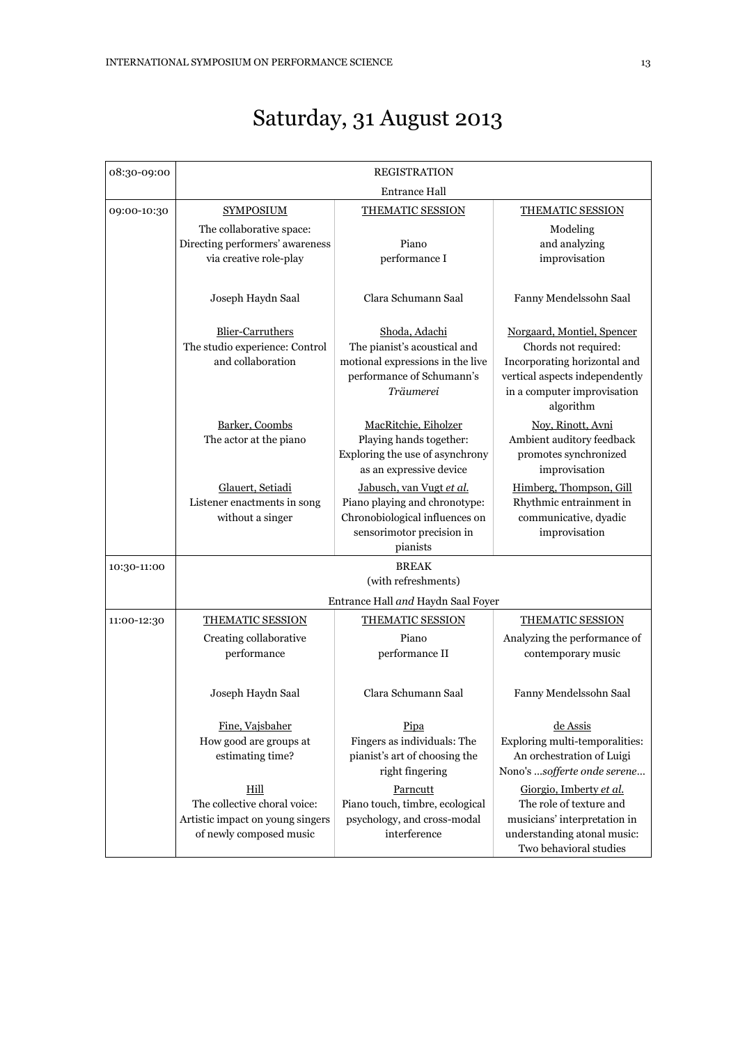| 08:30-09:00 | <b>REGISTRATION</b>                                                                                 |                                                                                                                                      |                                                                                                                                                                  |  |
|-------------|-----------------------------------------------------------------------------------------------------|--------------------------------------------------------------------------------------------------------------------------------------|------------------------------------------------------------------------------------------------------------------------------------------------------------------|--|
|             | Entrance Hall                                                                                       |                                                                                                                                      |                                                                                                                                                                  |  |
| 09:00-10:30 | <b>SYMPOSIUM</b>                                                                                    | <b>THEMATIC SESSION</b>                                                                                                              | <b>THEMATIC SESSION</b>                                                                                                                                          |  |
|             | The collaborative space:<br>Directing performers' awareness<br>via creative role-play               | Piano<br>performance I                                                                                                               | Modeling<br>and analyzing<br>improvisation                                                                                                                       |  |
|             | Joseph Haydn Saal                                                                                   | Clara Schumann Saal                                                                                                                  | Fanny Mendelssohn Saal                                                                                                                                           |  |
|             | Blier-Carruthers<br>The studio experience: Control<br>and collaboration                             | Shoda, Adachi<br>The pianist's acoustical and<br>motional expressions in the live<br>performance of Schumann's<br><b>Träumerei</b>   | Norgaard, Montiel, Spencer<br>Chords not required:<br>Incorporating horizontal and<br>vertical aspects independently<br>in a computer improvisation<br>algorithm |  |
|             | Barker, Coombs<br>The actor at the piano                                                            | MacRitchie, Eiholzer<br>Playing hands together:<br>Exploring the use of asynchrony<br>as an expressive device                        | Nov, Rinott, Avni<br>Ambient auditory feedback<br>promotes synchronized<br>improvisation                                                                         |  |
|             | Glauert, Setiadi<br>Listener enactments in song<br>without a singer                                 | Jabusch, van Vugt et al.<br>Piano playing and chronotype:<br>Chronobiological influences on<br>sensorimotor precision in<br>pianists | Himberg, Thompson, Gill<br>Rhythmic entrainment in<br>communicative, dyadic<br>improvisation                                                                     |  |
| 10:30-11:00 | <b>BREAK</b><br>(with refreshments)                                                                 |                                                                                                                                      |                                                                                                                                                                  |  |
|             | Entrance Hall and Haydn Saal Foyer                                                                  |                                                                                                                                      |                                                                                                                                                                  |  |
| 11:00-12:30 | <b>THEMATIC SESSION</b>                                                                             | <b>THEMATIC SESSION</b>                                                                                                              | <b>THEMATIC SESSION</b>                                                                                                                                          |  |
|             | Creating collaborative<br>performance                                                               | Piano<br>performance II                                                                                                              | Analyzing the performance of<br>contemporary music                                                                                                               |  |
|             | Joseph Haydn Saal                                                                                   | Clara Schumann Saal                                                                                                                  | Fanny Mendelssohn Saal                                                                                                                                           |  |
|             | Fine, Vajsbaher<br>How good are groups at<br>estimating time?                                       | <u>Pipa</u><br>Fingers as individuals: The<br>pianist's art of choosing the<br>right fingering                                       | de Assis<br>Exploring multi-temporalities:<br>An orchestration of Luigi<br>Nono's sofferte onde serene                                                           |  |
|             | Hill<br>The collective choral voice:<br>Artistic impact on young singers<br>of newly composed music | Parncutt<br>Piano touch, timbre, ecological<br>psychology, and cross-modal<br>interference                                           | Giorgio, Imberty et al.<br>The role of texture and<br>musicians' interpretation in<br>understanding atonal music:<br>Two behavioral studies                      |  |

## Saturday, 31 August 2013